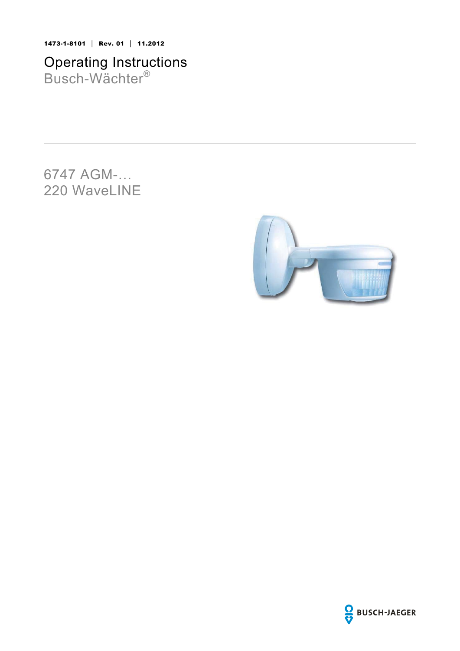1473-1-8101 │ Rev. 01 │ 11.2012

Operating Instructions Busch-Wächter®

6747 AGM-… 220 WaveLINE



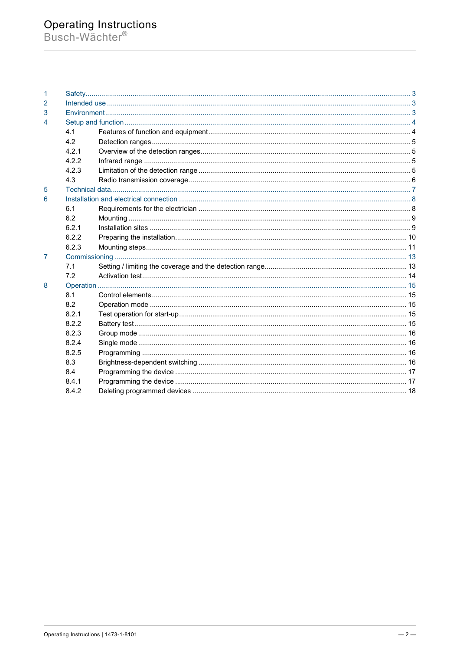# Operating Instructions<br>Busch-Wächter®

| 1              |       |  |
|----------------|-------|--|
| 2              |       |  |
| 3              |       |  |
| 4              |       |  |
|                | 4.1   |  |
|                | 4.2   |  |
|                | 4.2.1 |  |
|                | 4.2.2 |  |
|                | 4.2.3 |  |
|                | 4.3   |  |
| 5              |       |  |
| 6              |       |  |
|                | 6.1   |  |
|                | 6.2   |  |
|                | 6.2.1 |  |
|                | 6.2.2 |  |
|                | 6.2.3 |  |
| $\overline{7}$ |       |  |
|                | 7.1   |  |
|                | 7.2   |  |
| 8              |       |  |
|                | 8.1   |  |
|                | 8.2   |  |
|                | 8.2.1 |  |
|                | 8.2.2 |  |
|                | 8.2.3 |  |
|                | 8.2.4 |  |
|                | 8.2.5 |  |
|                | 8.3   |  |
|                | 8.4   |  |
|                | 8.4.1 |  |
|                | 8.4.2 |  |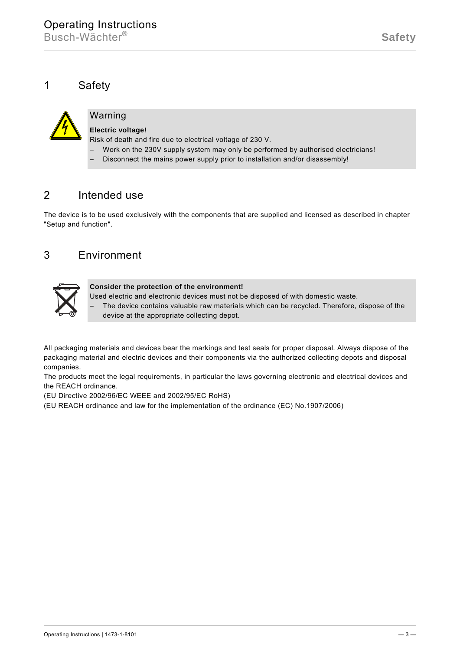# 1 Safety



# Warning

# **Electric voltage!**

Risk of death and fire due to electrical voltage of 230 V.

- Work on the 230V supply system may only be performed by authorised electricians!
	- Disconnect the mains power supply prior to installation and/or disassembly!

# 2 Intended use

The device is to be used exclusively with the components that are supplied and licensed as described in chapter "Setup and function".

# 3 Environment



## **Consider the protection of the environment!**

- Used electric and electronic devices must not be disposed of with domestic waste.
- The device contains valuable raw materials which can be recycled. Therefore, dispose of the device at the appropriate collecting depot.

All packaging materials and devices bear the markings and test seals for proper disposal. Always dispose of the packaging material and electric devices and their components via the authorized collecting depots and disposal companies.

The products meet the legal requirements, in particular the laws governing electronic and electrical devices and the REACH ordinance.

(EU Directive 2002/96/EC WEEE and 2002/95/EC RoHS)

(EU REACH ordinance and law for the implementation of the ordinance (EC) No.1907/2006)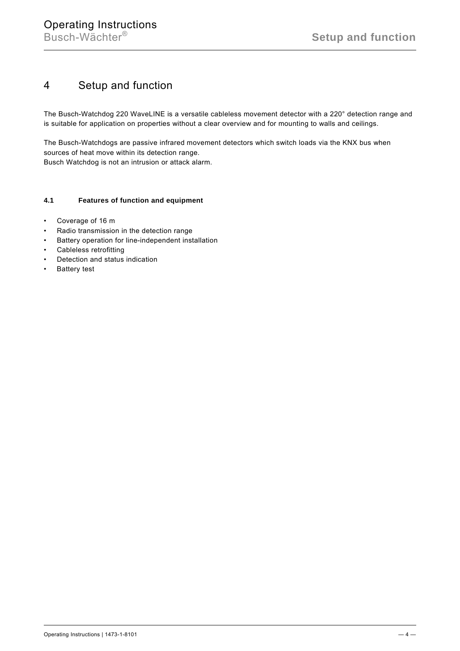# 4 Setup and function

The Busch-Watchdog 220 WaveLINE is a versatile cableless movement detector with a 220° detection range and is suitable for application on properties without a clear overview and for mounting to walls and ceilings.

The Busch-Watchdogs are passive infrared movement detectors which switch loads via the KNX bus when sources of heat move within its detection range. Busch Watchdog is not an intrusion or attack alarm.

# 4.1 Features of function and equipment

- Coverage of 16 m
- Radio transmission in the detection range
- Battery operation for line-independent installation
- Cableless retrofitting
- Detection and status indication
- Battery test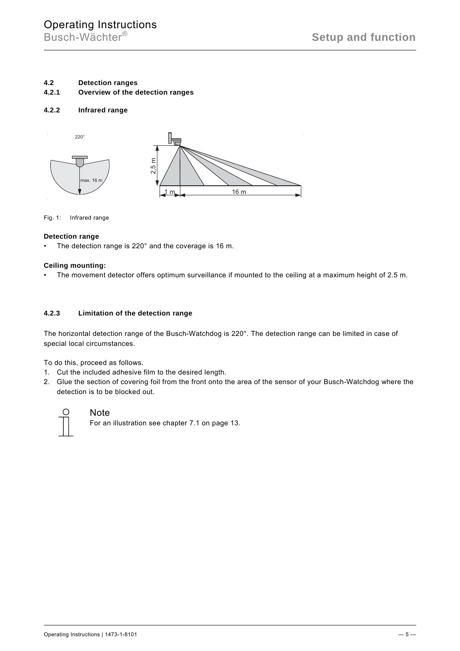## **4.2 Detection ranges**

**4.2.1 Overview of the detection ranges** 

### **4.2.2 Infrared range**



Fig. 1: Infrared range

#### **Detection range**

• The detection range is 220° and the coverage is 16 m.

#### **Ceiling mounting:**

• The movement detector offers optimum surveillance if mounted to the ceiling at a maximum height of 2.5 m.

## **4.2.3 Limitation of the detection range**

The horizontal detection range of the Busch-Watchdog is 220°. The detection range can be limited in case of special local circumstances.

To do this, proceed as follows.

- 1. Cut the included adhesive film to the desired length.
- 2. Glue the section of covering foil from the front onto the area of the sensor of your Busch-Watchdog where the detection is to be blocked out.



# **Note**

For an illustration see chapter 7.1 on page 13.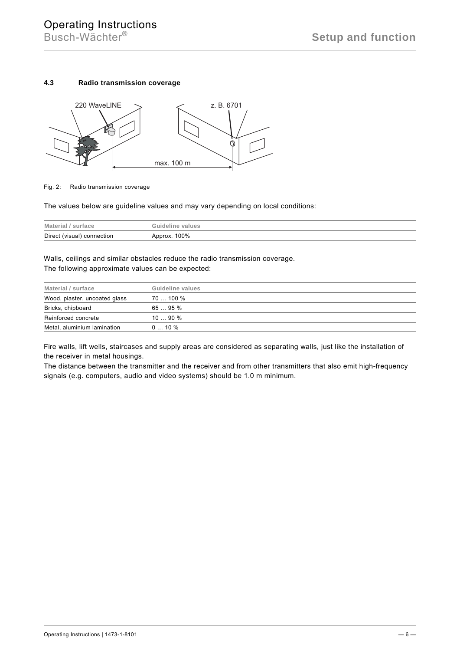## **4.3 Radio transmission coverage**



#### Fig. 2: Radio transmission coverage

The values below are guideline values and may vary depending on local conditions:

| Material        | Guideline |
|-----------------|-----------|
| surface         | values    |
| Direct (visual) | 100%      |
| connection      | Approx.   |

Walls, ceilings and similar obstacles reduce the radio transmission coverage. The following approximate values can be expected:

| Material / surface            | Guideline values |
|-------------------------------|------------------|
| Wood, plaster, uncoated glass | 70  100 %        |
| Bricks, chipboard             | 65  95 %         |
| Reinforced concrete           | 1090%            |
| Metal, aluminium lamination   | $010\%$          |

Fire walls, lift wells, staircases and supply areas are considered as separating walls, just like the installation of the receiver in metal housings.

The distance between the transmitter and the receiver and from other transmitters that also emit high-frequency signals (e.g. computers, audio and video systems) should be 1.0 m minimum.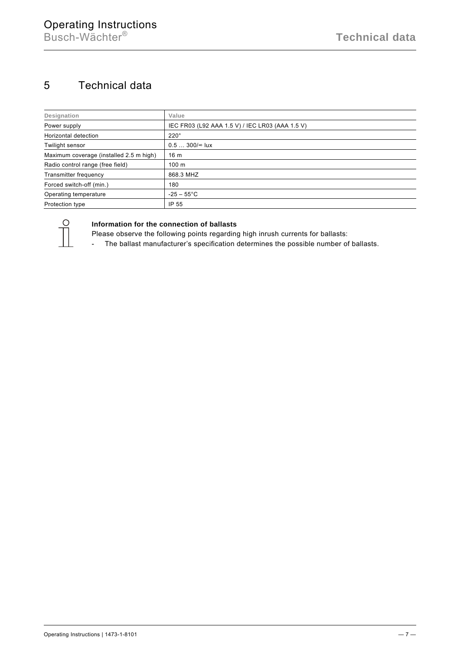# 5 Technical data

| Designation                             | Value                                           |
|-----------------------------------------|-------------------------------------------------|
| Power supply                            | IEC FR03 (L92 AAA 1.5 V) / IEC LR03 (AAA 1.5 V) |
| Horizontal detection                    | $220^\circ$                                     |
| Twilight sensor                         | $0.5300$ / $\approx$ lux                        |
| Maximum coverage (installed 2.5 m high) | 16 <sub>m</sub>                                 |
| Radio control range (free field)        | 100 <sub>m</sub>                                |
| <b>Transmitter frequency</b>            | 868.3 MHZ                                       |
| Forced switch-off (min.)                | 180                                             |
| Operating temperature                   | $-25 - 55^{\circ}$ C                            |
| Protection type                         | IP 55                                           |



# **Information for the connection of ballasts**

Please observe the following points regarding high inrush currents for ballasts:

- The ballast manufacturer's specification determines the possible number of ballasts.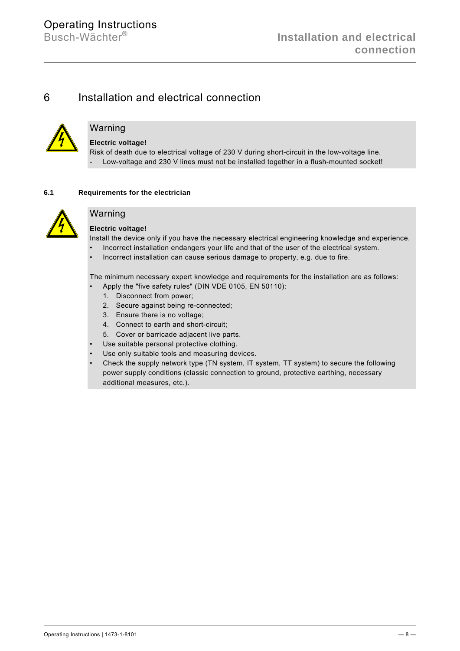# 6 Installation and electrical connection



# Warning

# **Electric voltage!**

Risk of death due to electrical voltage of 230 V during short-circuit in the low-voltage line. - Low-voltage and 230 V lines must not be installed together in a flush-mounted socket!

# **6.1 Requirements for the electrician**



# Warning

# **Electric voltage!**

Install the device only if you have the necessary electrical engineering knowledge and experience.

- Incorrect installation endangers your life and that of the user of the electrical system.
- Incorrect installation can cause serious damage to property, e.g. due to fire.

The minimum necessary expert knowledge and requirements for the installation are as follows:

- Apply the "five safety rules" (DIN VDE 0105, EN 50110):
	- 1. Disconnect from power;
	- 2. Secure against being re-connected;
	- 3. Ensure there is no voltage;
	- 4. Connect to earth and short-circuit;
- 5. Cover or barricade adjacent live parts.
- Use suitable personal protective clothing.
- Use only suitable tools and measuring devices.
- Check the supply network type (TN system, IT system, TT system) to secure the following power supply conditions (classic connection to ground, protective earthing, necessary additional measures, etc.).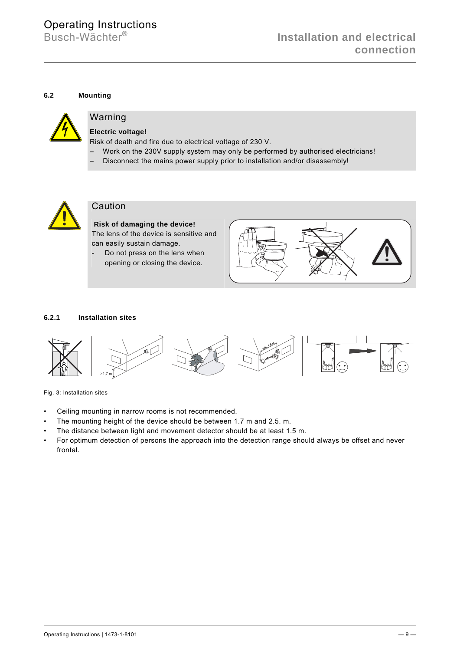# **6.2 Mounting**



# Warning

# **Electric voltage!**

Risk of death and fire due to electrical voltage of 230 V.

- Work on the 230V supply system may only be performed by authorised electricians!
	- Disconnect the mains power supply prior to installation and/or disassembly!



# Caution

 **Risk of damaging the device!**  The lens of the device is sensitive and can easily sustain damage.

- Do not press on the lens when opening or closing the device.



# **6.2.1 Installation sites**



Fig. 3: Installation sites

- Ceiling mounting in narrow rooms is not recommended.
- The mounting height of the device should be between 1.7 m and 2.5. m.
- The distance between light and movement detector should be at least 1.5 m.
- For optimum detection of persons the approach into the detection range should always be offset and never frontal.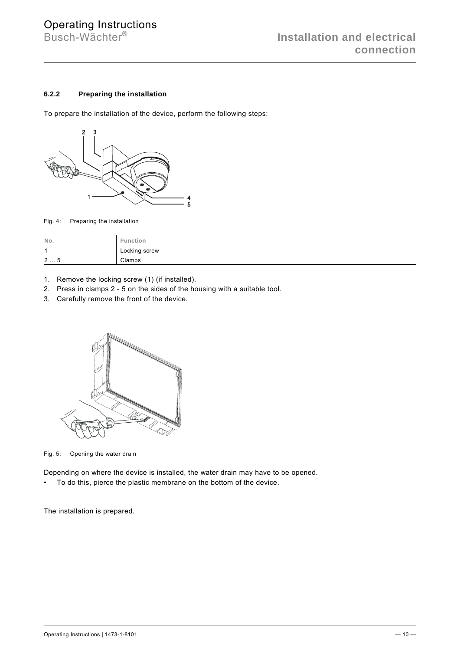# **6.2.2 Preparing the installation**

To prepare the installation of the device, perform the following steps:



Fig. 4: Preparing the installation

| No. | <b>Function</b> |
|-----|-----------------|
| 1   | Locking screw   |
| 25  | Clamps          |

- 1. Remove the locking screw (1) (if installed).
- 2. Press in clamps 2 5 on the sides of the housing with a suitable tool.
- 3. Carefully remove the front of the device.



Fig. 5: Opening the water drain

Depending on where the device is installed, the water drain may have to be opened.

• To do this, pierce the plastic membrane on the bottom of the device.

The installation is prepared.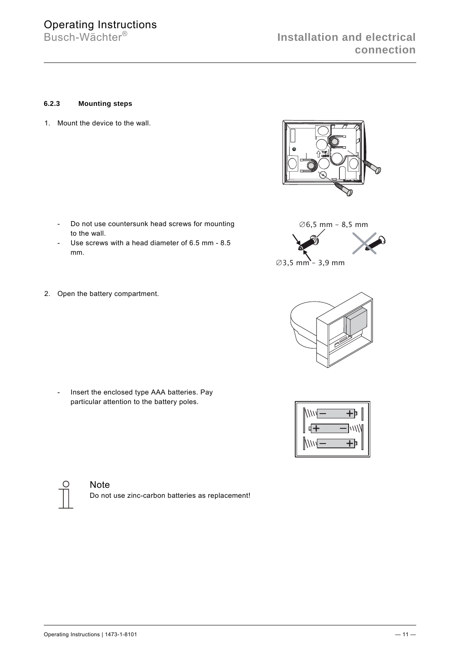# **6.2.3 Mounting steps**

1. Mount the device to the wall.

- Do not use countersunk head screws for mounting to the wall.
- Use screws with a head diameter of 6.5 mm 8.5 mm.
- 2. Open the battery compartment.

 - Insert the enclosed type AAA batteries. Pay particular attention to the battery poles.







 $\varnothing$ 3,5 mm - 3,9 mm



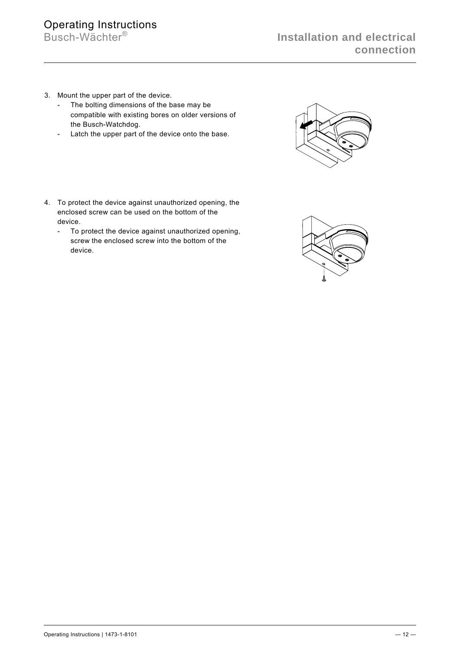# Operating Instructions<br>Busch-Wächter®

- 3. Mount the upper part of the device.
	- The bolting dimensions of the base may be compatible with existing bores on older versions of the Busch-Watchdog.
	- Latch the upper part of the device onto the base.
- 4. To protect the device against unauthorized opening, the enclosed screw can be used on the bottom of the device.
	- To protect the device against unauthorized opening, screw the enclosed screw into the bottom of the device.



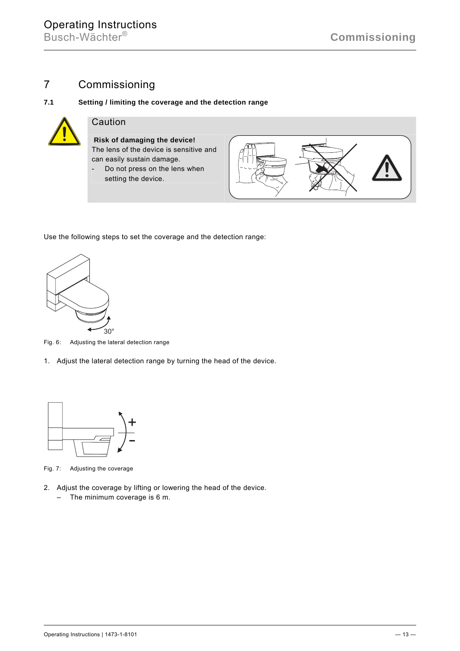# 7 Commissioning



# Caution

 **Risk of damaging the device!**  The lens of the device is sensitive and can easily sustain damage.

7.1 Setting / limiting the coverage and the detection range

- Do not press on the lens when setting the device.



Use the following steps to set the coverage and the detection range:



Fig. 6: Adjusting the lateral detection range

1. Adjust the lateral detection range by turning the head of the device.



Fig. 7: Adjusting the coverage

- 2. Adjust the coverage by lifting or lowering the head of the device.
	- The minimum coverage is 6 m.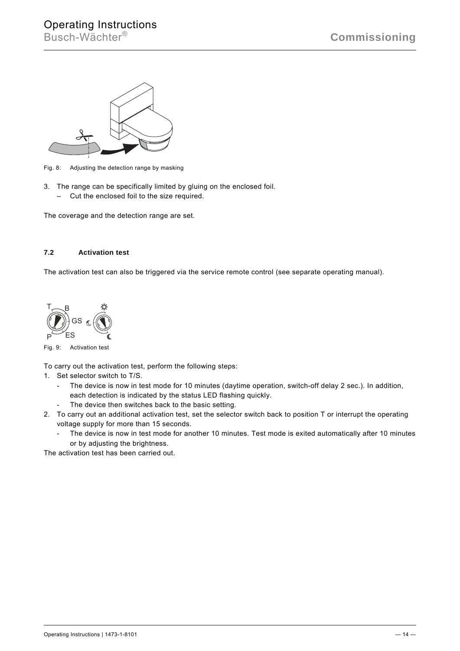

Fig. 8: Adjusting the detection range by masking

- 3. The range can be specifically limited by gluing on the enclosed foil.
	- Cut the enclosed foil to the size required.

The coverage and the detection range are set.

# **7.2 Activation test**

The activation test can also be triggered via the service remote control (see separate operating manual).



Fig. 9: Activation test

To carry out the activation test, perform the following steps:

- 1. Set selector switch to T/S.
	- The device is now in test mode for 10 minutes (daytime operation, switch-off delay 2 sec.). In addition, each detection is indicated by the status LED flashing quickly.
		- The device then switches back to the basic setting.
- 2. To carry out an additional activation test, set the selector switch back to position T or interrupt the operating voltage supply for more than 15 seconds.
	- The device is now in test mode for another 10 minutes. Test mode is exited automatically after 10 minutes or by adjusting the brightness.

The activation test has been carried out.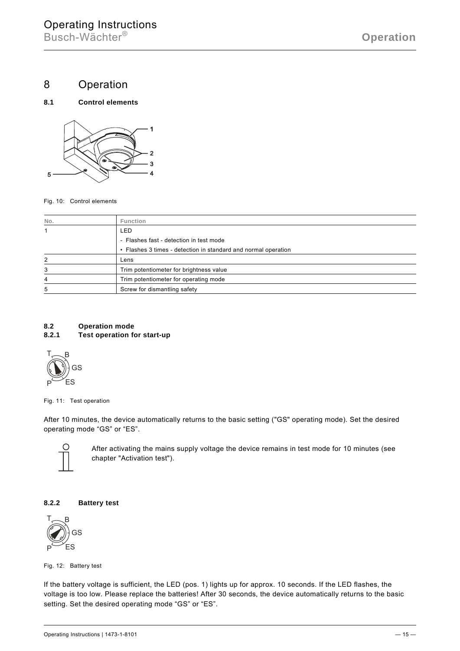8 Operation





Fig. 10: Control elements

| No. | <b>Function</b>                                                |
|-----|----------------------------------------------------------------|
|     | LED                                                            |
|     | - Flashes fast - detection in test mode                        |
|     | • Flashes 3 times - detection in standard and normal operation |
| 2   | Lens                                                           |
| 3   | Trim potentiometer for brightness value                        |
| 4   | Trim potentiometer for operating mode                          |
| 5   | Screw for dismantling safety                                   |

### **8.2 Operation mode 8.2.1 Test operation for start-up**



Fig. 11: Test operation

After 10 minutes, the device automatically returns to the basic setting ("GS" operating mode). Set the desired operating mode "GS" or "ES".



After activating the mains supply voltage the device remains in test mode for 10 minutes (see chapter "Activation test").

## **8.2.2 Battery test**



Fig. 12: Battery test

If the battery voltage is sufficient, the LED (pos. 1) lights up for approx. 10 seconds. If the LED flashes, the voltage is too low. Please replace the batteries! After 30 seconds, the device automatically returns to the basic setting. Set the desired operating mode "GS" or "ES".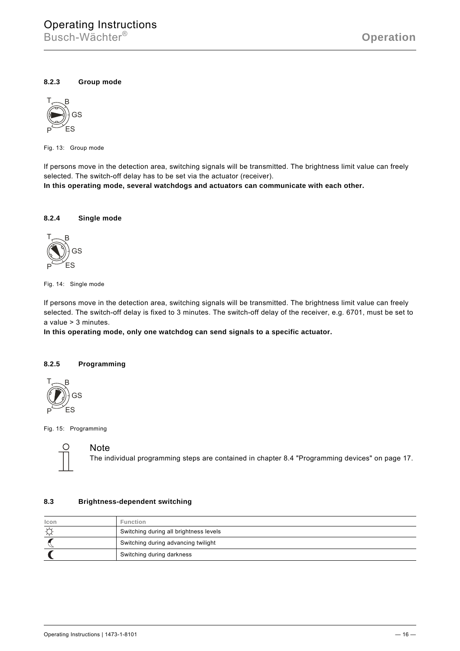# **8.2.3 Group mode**



Fig. 13: Group mode

If persons move in the detection area, switching signals will be transmitted. The brightness limit value can freely selected. The switch-off delay has to be set via the actuator (receiver).

**In this operating mode, several watchdogs and actuators can communicate with each other.** 

## **8.2.4 Single mode**



Fig. 14: Single mode

If persons move in the detection area, switching signals will be transmitted. The brightness limit value can freely selected. The switch-off delay is fixed to 3 minutes. The switch-off delay of the receiver, e.g. 6701, must be set to a value > 3 minutes.

**In this operating mode, only one watchdog can send signals to a specific actuator.** 

## **8.2.5 Programming**



Fig. 15: Programming



## **Note**

The individual programming steps are contained in chapter 8.4 "Programming devices" on page 17.

#### **8.3 Brightness-dependent switching**

| Icon     | <b>Function</b>                        |
|----------|----------------------------------------|
| <b>D</b> | Switching during all brightness levels |
|          | Switching during advancing twilight    |
|          | Switching during darkness              |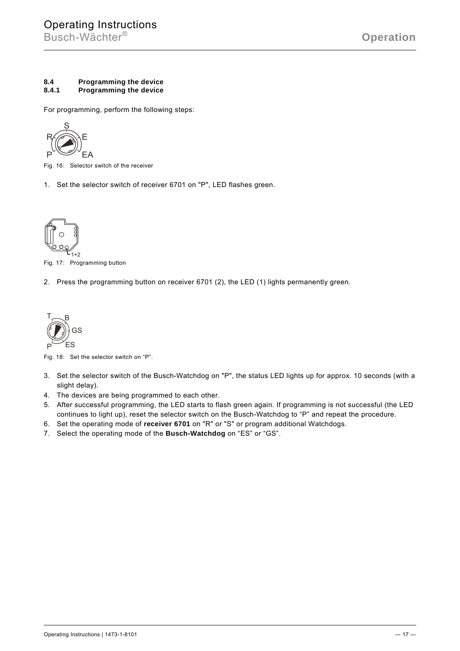## **8.4 Programming the device 8.4.1 Programming the device**

For programming, perform the following steps:



Fig. 16: Selector switch of the receiver

1. Set the selector switch of receiver 6701 on "P", LED flashes green.



Fig. 17: Programming button

2. Press the programming button on receiver 6701 (2), the LED (1) lights permanently green.



Fig. 18: Set the selector switch on "P".

- 3. Set the selector switch of the Busch-Watchdog on "P", the status LED lights up for approx. 10 seconds (with a slight delay).
- 4. The devices are being programmed to each other.
- 5. After successful programming, the LED starts to flash green again. If programming is not successful (the LED continues to light up), reset the selector switch on the Busch-Watchdog to "P" and repeat the procedure.
- 6. Set the operating mode of **receiver 6701** on "R" or "S" or program additional Watchdogs.
- 7. Select the operating mode of the **Busch-Watchdog** on "ES" or "GS".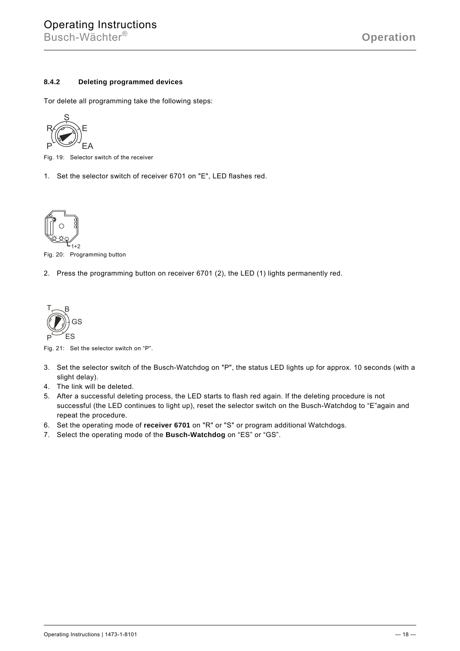# **8.4.2 Deleting programmed devices**

Tor delete all programming take the following steps:



Fig. 19: Selector switch of the receiver

1. Set the selector switch of receiver 6701 on "E", LED flashes red.



Fig. 20: Programming button

2. Press the programming button on receiver 6701 (2), the LED (1) lights permanently red.



Fig. 21: Set the selector switch on "P".

- 3. Set the selector switch of the Busch-Watchdog on "P", the status LED lights up for approx. 10 seconds (with a slight delay).
- 4. The link will be deleted.
- 5. After a successful deleting process, the LED starts to flash red again. If the deleting procedure is not successful (the LED continues to light up), reset the selector switch on the Busch-Watchdog to "E"again and repeat the procedure.
- 6. Set the operating mode of **receiver 6701** on "R" or "S" or program additional Watchdogs.
- 7. Select the operating mode of the **Busch-Watchdog** on "ES" or "GS".